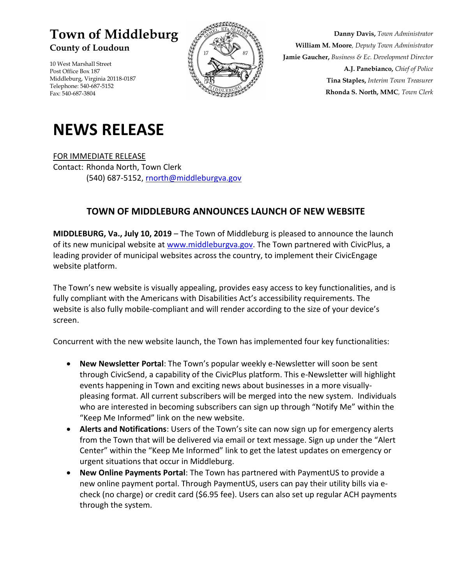## **Town of Middleburg**

**County of Loudoun** 

10 West Marshall Street Post Office Box 187 Middleburg, Virginia 20118-0187 Telephone: 540-687-5152 Fax: 540-687-3804



**Danny Davis,** *Town Administrator* **William M. Moore***, Deputy Town Administrator* **Jamie Gaucher,** *Business & Ec. Development Director* **A.J. Panebianco,** *Chief of Police* **Tina Staples,** *Interim Town Treasurer* **Rhonda S. North, MMC***, Town Clerk*

## **NEWS RELEASE**

FOR IMMEDIATE RELEASE Contact: Rhonda North, Town Clerk (540) 687-5152, [rnorth@middleburgva.gov](mailto:jgaucher@middleburgva.gov)

## **TOWN OF MIDDLEBURG ANNOUNCES LAUNCH OF NEW WEBSITE**

**MIDDLEBURG, Va., July 10, 2019** – The Town of Middleburg is pleased to announce the launch of its new municipal website at [www.middleburgva.gov.](http://www.middleburgva.gov/) The Town partnered with CivicPlus, a leading provider of municipal websites across the country, to implement their CivicEngage website platform.

The Town's new website is visually appealing, provides easy access to key functionalities, and is fully compliant with the Americans with Disabilities Act's accessibility requirements. The website is also fully mobile-compliant and will render according to the size of your device's screen.

Concurrent with the new website launch, the Town has implemented four key functionalities:

- **New Newsletter Portal**: The Town's popular weekly e-Newsletter will soon be sent through CivicSend, a capability of the CivicPlus platform. This e-Newsletter will highlight events happening in Town and exciting news about businesses in a more visuallypleasing format. All current subscribers will be merged into the new system. Individuals who are interested in becoming subscribers can sign up through "Notify Me" within the "Keep Me Informed" link on the new website.
- **Alerts and Notifications**: Users of the Town's site can now sign up for emergency alerts from the Town that will be delivered via email or text message. Sign up under the "Alert Center" within the "Keep Me Informed" link to get the latest updates on emergency or urgent situations that occur in Middleburg.
- **New Online Payments Portal**: The Town has partnered with PaymentUS to provide a new online payment portal. Through PaymentUS, users can pay their utility bills via echeck (no charge) or credit card (\$6.95 fee). Users can also set up regular ACH payments through the system.